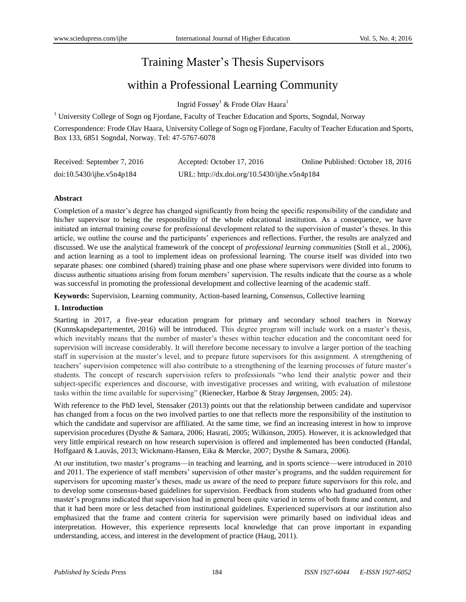# Training Master's Thesis Supervisors

# within a Professional Learning Community

Ingrid Fossøy<sup>1</sup> & Frode Olav Haara<sup>1</sup>

<sup>1</sup> University College of Sogn og Fjordane, Faculty of Teacher Education and Sports, Sogndal, Norway

Correspondence: Frode Olav Haara, University College of Sogn og Fjordane, Faculty of Teacher Education and Sports, Box 133, 6851 Sogndal, Norway. Tel: 47-5767-6078

| Received: September 7, 2016 | Accepted: October 17, 2016                   | Online Published: October 18, 2016 |
|-----------------------------|----------------------------------------------|------------------------------------|
| doi:10.5430/ijhe.v5n4p184   | URL: http://dx.doi.org/10.5430/ijhe.v5n4p184 |                                    |

## **Abstract**

Completion of a master's degree has changed significantly from being the specific responsibility of the candidate and his/her supervisor to being the responsibility of the whole educational institution. As a consequence, we have initiated an internal training course for professional development related to the supervision of master's theses. In this article, we outline the course and the participants' experiences and reflections. Further, the results are analyzed and discussed. We use the analytical framework of the concept of *professional learning communities* (Stoll et al., 2006), and action learning as a tool to implement ideas on professional learning. The course itself was divided into two separate phases: one combined (shared) training phase and one phase where supervisors were divided into forums to discuss authentic situations arising from forum members' supervision. The results indicate that the course as a whole was successful in promoting the professional development and collective learning of the academic staff.

**Keywords:** Supervision, Learning community, Action-based learning, Consensus, Collective learning

# **1. Introduction**

Starting in 2017, a five-year education program for primary and secondary school teachers in Norway (Kunnskapsdepartementet, 2016) will be introduced. This degree program will include work on a master's thesis, which inevitably means that the number of master's theses within teacher education and the concomitant need for supervision will increase considerably. It will therefore become necessary to involve a larger portion of the teaching staff in supervision at the master's level, and to prepare future supervisors for this assignment. A strengthening of teachers' supervision competence will also contribute to a strengthening of the learning processes of future master's students. The concept of research supervision refers to professionals "who lend their analytic power and their subject-specific experiences and discourse, with investigative processes and writing, with evaluation of milestone tasks within the time available for supervising" (Rienecker, Harboe & Stray Jørgensen, 2005: 24).

With reference to the PhD level, Stensaker (2013) points out that the relationship between candidate and supervisor has changed from a focus on the two involved parties to one that reflects more the responsibility of the institution to which the candidate and supervisor are affiliated. At the same time, we find an increasing interest in how to improve supervision procedures (Dysthe & Samara, 2006; Hasrati, 2005; Wilkinson, 2005). However, it is acknowledged that very little empirical research on how research supervision is offered and implemented has been conducted (Handal, Hoffgaard & Lauvås, 2013; Wickmann-Hansen, Eika & Mørcke, 2007; Dysthe & Samara, 2006).

At our institution, two master's programs—in teaching and learning, and in sports science—were introduced in 2010 and 2011. The experience of staff members' supervision of other master's programs, and the sudden requirement for supervisors for upcoming master's theses, made us aware of the need to prepare future supervisors for this role, and to develop some consensus-based guidelines for supervision. Feedback from students who had graduated from other master's programs indicated that supervision had in general been quite varied in terms of both frame and content, and that it had been more or less detached from institutional guidelines. Experienced supervisors at our institution also emphasized that the frame and content criteria for supervision were primarily based on individual ideas and interpretation. However, this experience represents local knowledge that can prove important in expanding understanding, access, and interest in the development of practice (Haug, 2011).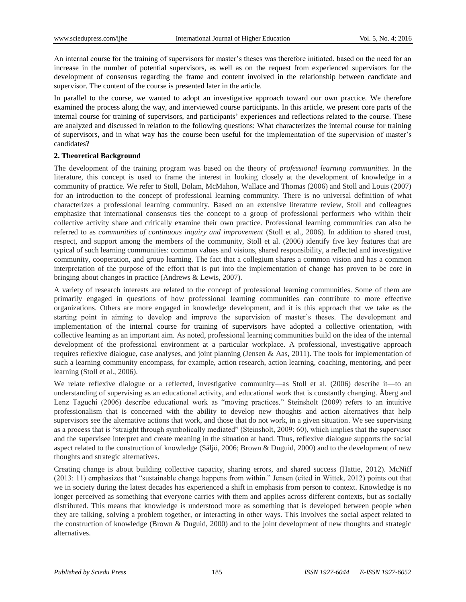An internal course for the training of supervisors for master's theses was therefore initiated, based on the need for an increase in the number of potential supervisors, as well as on the request from experienced supervisors for the development of consensus regarding the frame and content involved in the relationship between candidate and supervisor. The content of the course is presented later in the article.

In parallel to the course, we wanted to adopt an investigative approach toward our own practice. We therefore examined the process along the way, and interviewed course participants. In this article, we present core parts of the internal course for training of supervisors, and participants' experiences and reflections related to the course. These are analyzed and discussed in relation to the following questions: What characterizes the internal course for training of supervisors, and in what way has the course been useful for the implementation of the supervision of master's candidates?

## **2. Theoretical Background**

The development of the training program was based on the theory of *professional learning communities*. In the literature, this concept is used to frame the interest in looking closely at the development of knowledge in a community of practice. We refer to Stoll, Bolam, McMahon, Wallace and Thomas (2006) and Stoll and Louis (2007) for an introduction to the concept of professional learning community. There is no universal definition of what characterizes a professional learning community. Based on an extensive literature review, Stoll and colleagues emphasize that international consensus ties the concept to a group of professional performers who within their collective activity share and critically examine their own practice. Professional learning communities can also be referred to as *communities of continuous inquiry and improvement* (Stoll et al., 2006). In addition to shared trust, respect, and support among the members of the community, Stoll et al. (2006) identify five key features that are typical of such learning communities: common values and visions, shared responsibility, a reflected and investigative community, cooperation, and group learning. The fact that a collegium shares a common vision and has a common interpretation of the purpose of the effort that is put into the implementation of change has proven to be core in bringing about changes in practice (Andrews & Lewis, 2007).

A variety of research interests are related to the concept of professional learning communities. Some of them are primarily engaged in questions of how professional learning communities can contribute to more effective organizations. Others are more engaged in knowledge development, and it is this approach that we take as the starting point in aiming to develop and improve the supervision of master's theses. The development and implementation of the internal course for training of supervisors have adopted a collective orientation, with collective learning as an important aim. As noted, professional learning communities build on the idea of the internal development of the professional environment at a particular workplace. A professional, investigative approach requires reflexive dialogue, case analyses, and joint planning (Jensen & Aas, 2011). The tools for implementation of such a learning community encompass, for example, action research, action learning, coaching, mentoring, and peer learning (Stoll et al., 2006).

We relate reflexive dialogue or a reflected, investigative community—as Stoll et al. (2006) describe it—to an understanding of supervising as an educational activity, and educational work that is constantly changing. Åberg and Lenz Taguchi (2006) describe educational work as "moving practices." Steinsholt (2009) refers to an intuitive professionalism that is concerned with the ability to develop new thoughts and action alternatives that help supervisors see the alternative actions that work, and those that do not work, in a given situation. We see supervising as a process that is "straight through symbolically mediated" (Steinsholt, 2009: 60), which implies that the supervisor and the supervisee interpret and create meaning in the situation at hand. Thus, reflexive dialogue supports the social aspect related to the construction of knowledge (Säljö, 2006; Brown & Duguid, 2000) and to the development of new thoughts and strategic alternatives.

Creating change is about building collective capacity, sharing errors, and shared success (Hattie, 2012). McNiff (2013: 11) emphasizes that "sustainable change happens from within." Jensen (cited in Wittek, 2012) points out that we in society during the latest decades has experienced a shift in emphasis from person to context. Knowledge is no longer perceived as something that everyone carries with them and applies across different contexts, but as socially distributed. This means that knowledge is understood more as something that is developed between people when they are talking, solving a problem together, or interacting in other ways. This involves the social aspect related to the construction of knowledge (Brown & Duguid, 2000) and to the joint development of new thoughts and strategic alternatives.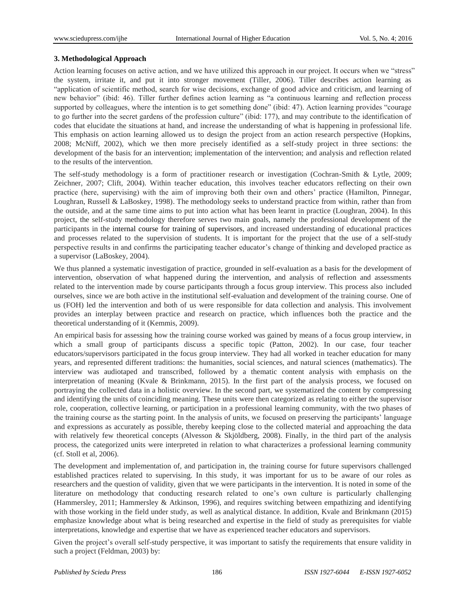## **3. Methodological Approach**

Action learning focuses on active action, and we have utilized this approach in our project. It occurs when we "stress" the system, irritate it, and put it into stronger movement (Tiller, 2006). Tiller describes action learning as "application of scientific method, search for wise decisions, exchange of good advice and criticism, and learning of new behavior" (ibid: 46). Tiller further defines action learning as "a continuous learning and reflection process supported by colleagues, where the intention is to get something done" (ibid: 47). Action learning provides "courage to go further into the secret gardens of the profession culture" (ibid: 177), and may contribute to the identification of codes that elucidate the situations at hand, and increase the understanding of what is happening in professional life. This emphasis on action learning allowed us to design the project from an action research perspective (Hopkins, 2008; McNiff, 2002), which we then more precisely identified as a self-study project in three sections: the development of the basis for an intervention; implementation of the intervention; and analysis and reflection related to the results of the intervention.

The self-study methodology is a form of practitioner research or investigation (Cochran-Smith & Lytle, 2009; Zeichner, 2007; Clift, 2004). Within teacher education, this involves teacher educators reflecting on their own practice (here, supervising) with the aim of improving both their own and others' practice (Hamilton, Pinnegar, Loughran, Russell & LaBoskey, 1998). The methodology seeks to understand practice from within, rather than from the outside, and at the same time aims to put into action what has been learnt in practice (Loughran, 2004). In this project, the self-study methodology therefore serves two main goals, namely the professional development of the participants in the internal course for training of supervisors, and increased understanding of educational practices and processes related to the supervision of students. It is important for the project that the use of a self-study perspective results in and confirms the participating teacher educator's change of thinking and developed practice as a supervisor (LaBoskey, 2004).

We thus planned a systematic investigation of practice, grounded in self-evaluation as a basis for the development of intervention, observation of what happened during the intervention, and analysis of reflection and assessments related to the intervention made by course participants through a focus group interview. This process also included ourselves, since we are both active in the institutional self-evaluation and development of the training course. One of us (FOH) led the intervention and both of us were responsible for data collection and analysis. This involvement provides an interplay between practice and research on practice, which influences both the practice and the theoretical understanding of it (Kemmis, 2009).

An empirical basis for assessing how the training course worked was gained by means of a focus group interview, in which a small group of participants discuss a specific topic (Patton, 2002). In our case, four teacher educators/supervisors participated in the focus group interview. They had all worked in teacher education for many years, and represented different traditions: the humanities, social sciences, and natural sciences (mathematics). The interview was audiotaped and transcribed, followed by a thematic content analysis with emphasis on the interpretation of meaning (Kvale & Brinkmann, 2015). In the first part of the analysis process, we focused on portraying the collected data in a holistic overview. In the second part, we systematized the content by compressing and identifying the units of coinciding meaning. These units were then categorized as relating to either the supervisor role, cooperation, collective learning, or participation in a professional learning community, with the two phases of the training course as the starting point. In the analysis of units, we focused on preserving the participants' language and expressions as accurately as possible, thereby keeping close to the collected material and approaching the data with relatively few theoretical concepts (Alvesson & Skjöldberg, 2008). Finally, in the third part of the analysis process, the categorized units were interpreted in relation to what characterizes a professional learning community (cf. Stoll et al, 2006).

The development and implementation of, and participation in, the training course for future supervisors challenged established practices related to supervising. In this study, it was important for us to be aware of our roles as researchers and the question of validity, given that we were participants in the intervention. It is noted in some of the literature on methodology that conducting research related to one's own culture is particularly challenging (Hammersley, 2011; Hammersley & Atkinson, 1996), and requires switching between empathizing and identifying with those working in the field under study, as well as analytical distance. In addition, Kvale and Brinkmann (2015) emphasize knowledge about what is being researched and expertise in the field of study as prerequisites for viable interpretations, knowledge and expertise that we have as experienced teacher educators and supervisors.

Given the project's overall self-study perspective, it was important to satisfy the requirements that ensure validity in such a project (Feldman, 2003) by: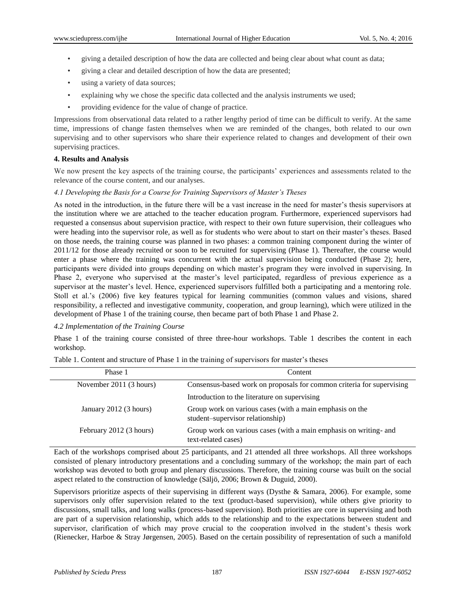- giving a detailed description of how the data are collected and being clear about what count as data;
- giving a clear and detailed description of how the data are presented;
- using a variety of data sources;
- explaining why we chose the specific data collected and the analysis instruments we used;
- providing evidence for the value of change of practice.

Impressions from observational data related to a rather lengthy period of time can be difficult to verify. At the same time, impressions of change fasten themselves when we are reminded of the changes, both related to our own supervising and to other supervisors who share their experience related to changes and development of their own supervising practices.

# **4. Results and Analysis**

We now present the key aspects of the training course, the participants' experiences and assessments related to the relevance of the course content, and our analyses.

## *4.1 Developing the Basis for a Course for Training Supervisors of Master's Theses*

As noted in the introduction, in the future there will be a vast increase in the need for master's thesis supervisors at the institution where we are attached to the teacher education program. Furthermore, experienced supervisors had requested a consensus about supervision practice, with respect to their own future supervision, their colleagues who were heading into the supervisor role, as well as for students who were about to start on their master's theses. Based on those needs, the training course was planned in two phases: a common training component during the winter of 2011/12 for those already recruited or soon to be recruited for supervising (Phase 1). Thereafter, the course would enter a phase where the training was concurrent with the actual supervision being conducted (Phase 2); here, participants were divided into groups depending on which master's program they were involved in supervising. In Phase 2, everyone who supervised at the master's level participated, regardless of previous experience as a supervisor at the master's level. Hence, experienced supervisors fulfilled both a participating and a mentoring role. Stoll et al.'s (2006) five key features typical for learning communities (common values and visions, shared responsibility, a reflected and investigative community, cooperation, and group learning), which were utilized in the development of Phase 1 of the training course, then became part of both Phase 1 and Phase 2.

#### *4.2 Implementation of the Training Course*

Phase 1 of the training course consisted of three three-hour workshops. Table 1 describes the content in each workshop.

| Phase 1                 | Content                                                                                      |  |
|-------------------------|----------------------------------------------------------------------------------------------|--|
| November 2011 (3 hours) | Consensus-based work on proposals for common criteria for supervising                        |  |
|                         | Introduction to the literature on supervising                                                |  |
| January 2012 (3 hours)  | Group work on various cases (with a main emphasis on the<br>student-supervisor relationship) |  |
| February 2012 (3 hours) | Group work on various cases (with a main emphasis on writing- and<br>text-related cases)     |  |

Table 1. Content and structure of Phase 1 in the training of supervisors for master's theses

Each of the workshops comprised about 25 participants, and 21 attended all three workshops. All three workshops consisted of plenary introductory presentations and a concluding summary of the workshop; the main part of each workshop was devoted to both group and plenary discussions. Therefore, the training course was built on the social aspect related to the construction of knowledge (Säljö, 2006; Brown & Duguid, 2000).

Supervisors prioritize aspects of their supervising in different ways (Dysthe & Samara, 2006). For example, some supervisors only offer supervision related to the text (product-based supervision), while others give priority to discussions, small talks, and long walks (process-based supervision). Both priorities are core in supervising and both are part of a supervision relationship, which adds to the relationship and to the expectations between student and supervisor, clarification of which may prove crucial to the cooperation involved in the student's thesis work (Rienecker, Harboe & Stray Jørgensen, 2005). Based on the certain possibility of representation of such a manifold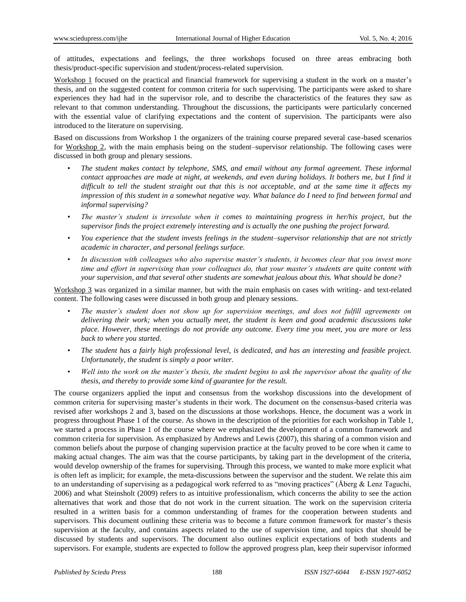of attitudes, expectations and feelings, the three workshops focused on three areas embracing both thesis/product-specific supervision and student/process-related supervision.

Workshop 1 focused on the practical and financial framework for supervising a student in the work on a master's thesis, and on the suggested content for common criteria for such supervising. The participants were asked to share experiences they had had in the supervisor role, and to describe the characteristics of the features they saw as relevant to that common understanding. Throughout the discussions, the participants were particularly concerned with the essential value of clarifying expectations and the content of supervision. The participants were also introduced to the literature on supervising.

Based on discussions from Workshop 1 the organizers of the training course prepared several case-based scenarios for Workshop 2, with the main emphasis being on the student–supervisor relationship. The following cases were discussed in both group and plenary sessions.

- *The student makes contact by telephone, SMS, and email without any formal agreement. These informal contact approaches are made at night, at weekends, and even during holidays. It bothers me, but I find it difficult to tell the student straight out that this is not acceptable, and at the same time it affects my impression of this student in a somewhat negative way. What balance do I need to find between formal and informal supervising?*
- *The master's student is irresolute when it comes to maintaining progress in her/his project, but the supervisor finds the project extremely interesting and is actually the one pushing the project forward.*
- *You experience that the student invests feelings in the student–supervisor relationship that are not strictly academic in character, and personal feelings surface.*
- *In discussion with colleagues who also supervise master's students, it becomes clear that you invest more time and effort in supervising than your colleagues do, that your master's students are quite content with your supervision, and that several other students are somewhat jealous about this. What should be done?*

Workshop 3 was organized in a similar manner, but with the main emphasis on cases with writing- and text-related content. The following cases were discussed in both group and plenary sessions.

- *The master's student does not show up for supervision meetings, and does not fulfill agreements on delivering their work; when you actually meet, the student is keen and good academic discussions take place. However, these meetings do not provide any outcome. Every time you meet, you are more or less back to where you started.*
- *The student has a fairly high professional level, is dedicated, and has an interesting and feasible project. Unfortunately, the student is simply a poor writer.*
- *Well into the work on the master's thesis, the student begins to ask the supervisor about the quality of the thesis, and thereby to provide some kind of guarantee for the result.*

The course organizers applied the input and consensus from the workshop discussions into the development of common criteria for supervising master's students in their work. The document on the consensus-based criteria was revised after workshops 2 and 3, based on the discussions at those workshops. Hence, the document was a work in progress throughout Phase 1 of the course. As shown in the description of the priorities for each workshop in Table 1, we started a process in Phase 1 of the course where we emphasized the development of a common framework and common criteria for supervision. As emphasized by Andrews and Lewis (2007), this sharing of a common vision and common beliefs about the purpose of changing supervision practice at the faculty proved to be core when it came to making actual changes. The aim was that the course participants, by taking part in the development of the criteria, would develop ownership of the frames for supervising. Through this process, we wanted to make more explicit what is often left as implicit; for example, the meta-discussions between the supervisor and the student. We relate this aim to an understanding of supervising as a pedagogical work referred to as "moving practices" (Åberg & Lenz Taguchi, 2006) and what Steinsholt (2009) refers to as intuitive professionalism, which concerns the ability to see the action alternatives that work and those that do not work in the current situation. The work on the supervision criteria resulted in a written basis for a common understanding of frames for the cooperation between students and supervisors. This document outlining these criteria was to become a future common framework for master's thesis supervision at the faculty, and contains aspects related to the use of supervision time, and topics that should be discussed by students and supervisors. The document also outlines explicit expectations of both students and supervisors. For example, students are expected to follow the approved progress plan, keep their supervisor informed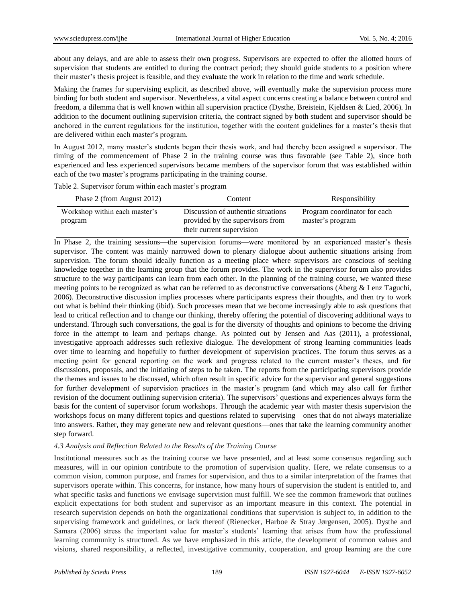about any delays, and are able to assess their own progress. Supervisors are expected to offer the allotted hours of supervision that students are entitled to during the contract period; they should guide students to a position where their master's thesis project is feasible, and they evaluate the work in relation to the time and work schedule.

Making the frames for supervising explicit, as described above, will eventually make the supervision process more binding for both student and supervisor. Nevertheless, a vital aspect concerns creating a balance between control and freedom, a dilemma that is well known within all supervision practice (Dysthe, Breistein, Kjeldsen & Lied, 2006). In addition to the document outlining supervision criteria, the contract signed by both student and supervisor should be anchored in the current regulations for the institution, together with the content guidelines for a master's thesis that are delivered within each master's program.

In August 2012, many master's students began their thesis work, and had thereby been assigned a supervisor. The timing of the commencement of Phase 2 in the training course was thus favorable (see Table 2), since both experienced and less experienced supervisors became members of the supervisor forum that was established within each of the two master's programs participating in the training course.

Table 2. Supervisor forum within each master's program

| Phase 2 (from August 2012)               | Content                                                                                             | Responsibility                                   |
|------------------------------------------|-----------------------------------------------------------------------------------------------------|--------------------------------------------------|
| Workshop within each master's<br>program | Discussion of authentic situations<br>provided by the supervisors from<br>their current supervision | Program coordinator for each<br>master's program |

In Phase 2, the training sessions—the supervision forums—were monitored by an experienced master's thesis supervisor. The content was mainly narrowed down to plenary dialogue about authentic situations arising from supervision. The forum should ideally function as a meeting place where supervisors are conscious of seeking knowledge together in the learning group that the forum provides. The work in the supervisor forum also provides structure to the way participants can learn from each other. In the planning of the training course, we wanted these meeting points to be recognized as what can be referred to as deconstructive conversations (Åberg & Lenz Taguchi, 2006). Deconstructive discussion implies processes where participants express their thoughts, and then try to work out what is behind their thinking (ibid). Such processes mean that we become increasingly able to ask questions that lead to critical reflection and to change our thinking, thereby offering the potential of discovering additional ways to understand. Through such conversations, the goal is for the diversity of thoughts and opinions to become the driving force in the attempt to learn and perhaps change. As pointed out by Jensen and Aas (2011), a professional, investigative approach addresses such reflexive dialogue. The development of strong learning communities leads over time to learning and hopefully to further development of supervision practices. The forum thus serves as a meeting point for general reporting on the work and progress related to the current master's theses, and for discussions, proposals, and the initiating of steps to be taken. The reports from the participating supervisors provide the themes and issues to be discussed, which often result in specific advice for the supervisor and general suggestions for further development of supervision practices in the master's program (and which may also call for further revision of the document outlining supervision criteria). The supervisors' questions and experiences always form the basis for the content of supervisor forum workshops. Through the academic year with master thesis supervision the workshops focus on many different topics and questions related to supervising—ones that do not always materialize into answers. Rather, they may generate new and relevant questions—ones that take the learning community another step forward.

#### *4.3 Analysis and Reflection Related to the Results of the Training Course*

Institutional measures such as the training course we have presented, and at least some consensus regarding such measures, will in our opinion contribute to the promotion of supervision quality. Here, we relate consensus to a common vision, common purpose, and frames for supervision, and thus to a similar interpretation of the frames that supervisors operate within. This concerns, for instance, how many hours of supervision the student is entitled to, and what specific tasks and functions we envisage supervision must fulfill. We see the common framework that outlines explicit expectations for both student and supervisor as an important measure in this context. The potential in research supervision depends on both the organizational conditions that supervision is subject to, in addition to the supervising framework and guidelines, or lack thereof (Rienecker, Harboe & Stray Jørgensen, 2005). Dysthe and Samara (2006) stress the important value for master's students' learning that arises from how the professional learning community is structured. As we have emphasized in this article, the development of common values and visions, shared responsibility, a reflected, investigative community, cooperation, and group learning are the core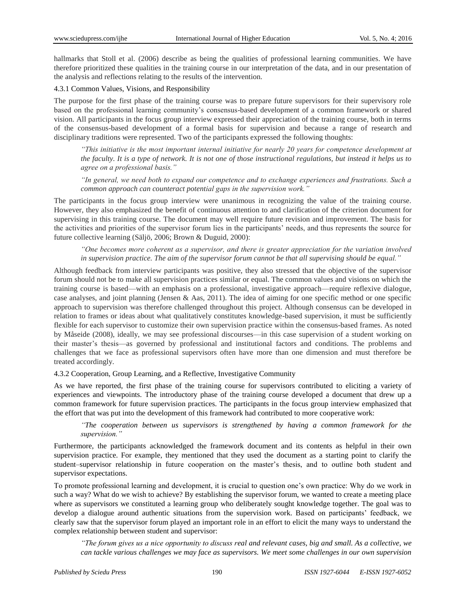hallmarks that Stoll et al. (2006) describe as being the qualities of professional learning communities. We have therefore prioritized these qualities in the training course in our interpretation of the data, and in our presentation of the analysis and reflections relating to the results of the intervention.

# 4.3.1 Common Values, Visions, and Responsibility

The purpose for the first phase of the training course was to prepare future supervisors for their supervisory role based on the professional learning community's consensus-based development of a common framework or shared vision. All participants in the focus group interview expressed their appreciation of the training course, both in terms of the consensus-based development of a formal basis for supervision and because a range of research and disciplinary traditions were represented. Two of the participants expressed the following thoughts:

*"This initiative is the most important internal initiative for nearly 20 years for competence development at the faculty. It is a type of network. It is not one of those instructional regulations, but instead it helps us to agree on a professional basis."*

*"In general, we need both to expand our competence and to exchange experiences and frustrations. Such a common approach can counteract potential gaps in the supervision work."*

The participants in the focus group interview were unanimous in recognizing the value of the training course. However, they also emphasized the benefit of continuous attention to and clarification of the criterion document for supervising in this training course. The document may well require future revision and improvement. The basis for the activities and priorities of the supervisor forum lies in the participants' needs, and thus represents the source for future collective learning (Säljö, 2006; Brown & Duguid, 2000):

*"One becomes more coherent as a supervisor, and there is greater appreciation for the variation involved in supervision practice. The aim of the supervisor forum cannot be that all supervising should be equal."*

Although feedback from interview participants was positive, they also stressed that the objective of the supervisor forum should not be to make all supervision practices similar or equal. The common values and visions on which the training course is based—with an emphasis on a professional, investigative approach—require reflexive dialogue, case analyses, and joint planning (Jensen & Aas, 2011). The idea of aiming for one specific method or one specific approach to supervision was therefore challenged throughout this project. Although consensus can be developed in relation to frames or ideas about what qualitatively constitutes knowledge-based supervision, it must be sufficiently flexible for each supervisor to customize their own supervision practice within the consensus-based frames. As noted by Måseide (2008), ideally, we may see professional discourses—in this case supervision of a student working on their master's thesis—as governed by professional and institutional factors and conditions. The problems and challenges that we face as professional supervisors often have more than one dimension and must therefore be treated accordingly.

4.3.2 Cooperation, Group Learning, and a Reflective, Investigative Community

As we have reported, the first phase of the training course for supervisors contributed to eliciting a variety of experiences and viewpoints. The introductory phase of the training course developed a document that drew up a common framework for future supervision practices. The participants in the focus group interview emphasized that the effort that was put into the development of this framework had contributed to more cooperative work:

*"The cooperation between us supervisors is strengthened by having a common framework for the supervision."*

Furthermore, the participants acknowledged the framework document and its contents as helpful in their own supervision practice. For example, they mentioned that they used the document as a starting point to clarify the student–supervisor relationship in future cooperation on the master's thesis, and to outline both student and supervisor expectations.

To promote professional learning and development, it is crucial to question one's own practice: Why do we work in such a way? What do we wish to achieve? By establishing the supervisor forum, we wanted to create a meeting place where as supervisors we constituted a learning group who deliberately sought knowledge together. The goal was to develop a dialogue around authentic situations from the supervision work. Based on participants' feedback, we clearly saw that the supervisor forum played an important role in an effort to elicit the many ways to understand the complex relationship between student and supervisor:

*"The forum gives us a nice opportunity to discuss real and relevant cases, big and small. As a collective, we can tackle various challenges we may face as supervisors. We meet some challenges in our own supervision*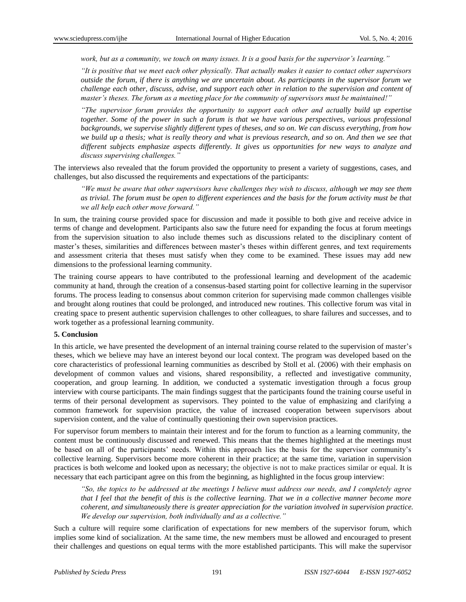*work, but as a community, we touch on many issues. It is a good basis for the supervisor's learning."*

*"It is positive that we meet each other physically. That actually makes it easier to contact other supervisors outside the forum, if there is anything we are uncertain about. As participants in the supervisor forum we challenge each other, discuss, advise, and support each other in relation to the supervision and content of master's theses. The forum as a meeting place for the community of supervisors must be maintained!"*

*"The supervisor forum provides the opportunity to support each other and actually build up expertise together. Some of the power in such a forum is that we have various perspectives, various professional backgrounds, we supervise slightly different types of theses, and so on. We can discuss everything, from how we build up a thesis; what is really theory and what is previous research, and so on. And then we see that different subjects emphasize aspects differently. It gives us opportunities for new ways to analyze and discuss supervising challenges."*

The interviews also revealed that the forum provided the opportunity to present a variety of suggestions, cases, and challenges, but also discussed the requirements and expectations of the participants:

*"We must be aware that other supervisors have challenges they wish to discuss, although we may see them as trivial. The forum must be open to different experiences and the basis for the forum activity must be that we all help each other move forward."*

In sum, the training course provided space for discussion and made it possible to both give and receive advice in terms of change and development. Participants also saw the future need for expanding the focus at forum meetings from the supervision situation to also include themes such as discussions related to the disciplinary content of master's theses, similarities and differences between master's theses within different genres, and text requirements and assessment criteria that theses must satisfy when they come to be examined. These issues may add new dimensions to the professional learning community.

The training course appears to have contributed to the professional learning and development of the academic community at hand, through the creation of a consensus-based starting point for collective learning in the supervisor forums. The process leading to consensus about common criterion for supervising made common challenges visible and brought along routines that could be prolonged, and introduced new routines. This collective forum was vital in creating space to present authentic supervision challenges to other colleagues, to share failures and successes, and to work together as a professional learning community.

#### **5. Conclusion**

In this article, we have presented the development of an internal training course related to the supervision of master's theses, which we believe may have an interest beyond our local context. The program was developed based on the core characteristics of professional learning communities as described by Stoll et al. (2006) with their emphasis on development of common values and visions, shared responsibility, a reflected and investigative community, cooperation, and group learning. In addition, we conducted a systematic investigation through a focus group interview with course participants. The main findings suggest that the participants found the training course useful in terms of their personal development as supervisors. They pointed to the value of emphasizing and clarifying a common framework for supervision practice, the value of increased cooperation between supervisors about supervision content, and the value of continually questioning their own supervision practices.

For supervisor forum members to maintain their interest and for the forum to function as a learning community, the content must be continuously discussed and renewed. This means that the themes highlighted at the meetings must be based on all of the participants' needs. Within this approach lies the basis for the supervisor community's collective learning. Supervisors become more coherent in their practice; at the same time, variation in supervision practices is both welcome and looked upon as necessary; the objective is not to make practices similar or equal. It is necessary that each participant agree on this from the beginning, as highlighted in the focus group interview:

*"So, the topics to be addressed at the meetings I believe must address our needs, and I completely agree that I feel that the benefit of this is the collective learning. That we in a collective manner become more coherent, and simultaneously there is greater appreciation for the variation involved in supervision practice. We develop our supervision, both individually and as a collective."*

Such a culture will require some clarification of expectations for new members of the supervisor forum, which implies some kind of socialization. At the same time, the new members must be allowed and encouraged to present their challenges and questions on equal terms with the more established participants. This will make the supervisor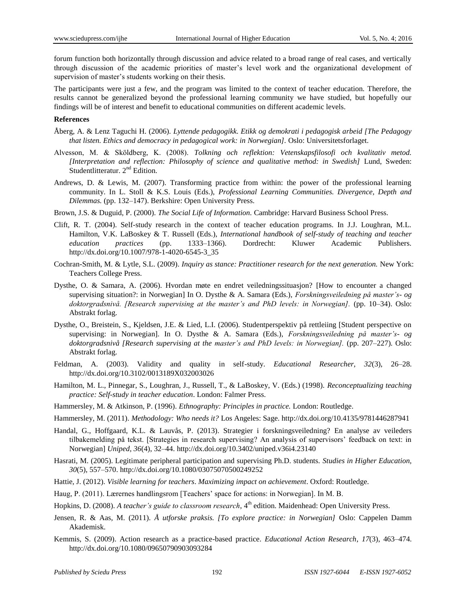forum function both horizontally through discussion and advice related to a broad range of real cases, and vertically through discussion of the academic priorities of master's level work and the organizational development of supervision of master's students working on their thesis.

The participants were just a few, and the program was limited to the context of teacher education. Therefore, the results cannot be generalized beyond the professional learning community we have studied, but hopefully our findings will be of interest and benefit to educational communities on different academic levels.

#### **References**

- Åberg, A. & Lenz Taguchi H. (2006). *Lyttende pedagogikk. Etikk og demokrati i pedagogisk arbeid [The Pedagogy that listen. Ethics and democracy in pedagogical work: in Norwegian].* Oslo: Universitetsforlaget.
- Alvesson, M. & Skӧldberg, K. (2008). *Tolkning och reflektion: Vetenskapsfilosofi och kvalitativ metod. [Interpretation and reflection: Philosophy of science and qualitative method: in Swedish]* Lund, Sweden: Studentlitteratur. 2<sup>nd</sup> Edition.
- Andrews, D. & Lewis, M. (2007). Transforming practice from within: the power of the professional learning community. In L. Stoll & K.S. Louis (Eds.), *Professional Learning Communities. Divergence, Depth and Dilemmas.* (pp. 132–147). Berkshire: Open University Press.
- Brown, J.S. & Duguid, P. (2000). *The Social Life of Information.* Cambridge: Harvard Business School Press.
- Clift, R. T. (2004). Self-study research in the context of teacher education programs. In J.J. Loughran, M.L. Hamilton, V.K. LaBoskey & T. Russell (Eds.), *International handbook of self-study of teaching and teacher education practices* (pp. 1333–1366). Dordrecht: Kluwer Academic Publishers. [http://dx.doi.org/10.1007/978-1-4020-6545-3\\_35](http://dx.doi.org/10.1007/978-1-4020-6545-3_35)
- Cochran-Smith, M. & Lytle, S.L. (2009). *Inquiry as stance: Practitioner research for the next generation.* New York: Teachers College Press.
- Dysthe, O. & Samara, A. (2006). Hvordan møte en endret veiledningssituasjon? [How to encounter a changed supervising situation?: in Norwegian] In O. Dysthe & A. Samara (Eds.), *Forskningsveiledning på master's- og doktorgradsnivå. [Research supervising at the master's and PhD levels: in Norwegian].* (pp. 10–34). Oslo: Abstrakt forlag.
- Dysthe, O., Breistein, S., Kjeldsen, J.E. & Lied, L.I. (2006). Studentperspektiv på rettleiing [Student perspective on supervising: in Norwegian]. In O. Dysthe & A. Samara (Eds.), *Forskningsveiledning på master's- og doktorgradsnivå [Research supervising at the master's and PhD levels: in Norwegian].* (pp. 207–227). Oslo: Abstrakt forlag.
- Feldman, A. (2003). Validity and quality in self-study. *Educational Researcher, 32*(3), 26–28. <http://dx.doi.org/10.3102/0013189X032003026>
- Hamilton, M. L., Pinnegar, S., Loughran, J., Russell, T., & LaBoskey, V. (Eds.) (1998). *Reconceptualizing teaching practice: Self-study in teacher education*. London: Falmer Press.
- Hammersley, M. & Atkinson, P. (1996). *Ethnography: Principles in practice.* London: Routledge.
- Hammersley, M. (2011). *Methodology: Who needs it?* Los Angeles: Sage.<http://dx.doi.org/10.4135/9781446287941>
- Handal, G., Hoffgaard, K.L. & Lauvås, P. (2013). Strategier i forskningsveiledning? En analyse av veileders tilbakemelding på tekst. [Strategies in research supervising? An analysis of supervisors' feedback on text: in Norwegian] *Uniped, 36*(4), 32–44. <http://dx.doi.org/10.3402/uniped.v36i4.23140>
- Hasrati, M. (2005). Legitimate peripheral participation and supervising Ph.D. students. *Studies in Higher Education, 30*(5), 557–570[. http://dx.doi.org/10.1080/03075070500249252](http://dx.doi.org/10.1080/03075070500249252)
- Hattie, J. (2012). *Visible learning for teachers*. *Maximizing impact on achievement*. Oxford: Routledge.
- Haug, P. (2011). Lærernes handlingsrom [Teachers' space for actions: in Norwegian]. In M. B.
- Hopkins, D. (2008). *A teacher's guide to classroom research*, 4<sup>th</sup> edition. Maidenhead: Open University Press.
- Jensen, R. & Aas, M. (2011). *Å utforske praksis. [To explore practice: in Norwegian]* Oslo: Cappelen Damm Akademisk.
- Kemmis, S. (2009). Action research as a practice-based practice. *Educational Action Research*, *17*(3), 463–474. <http://dx.doi.org/10.1080/09650790903093284>